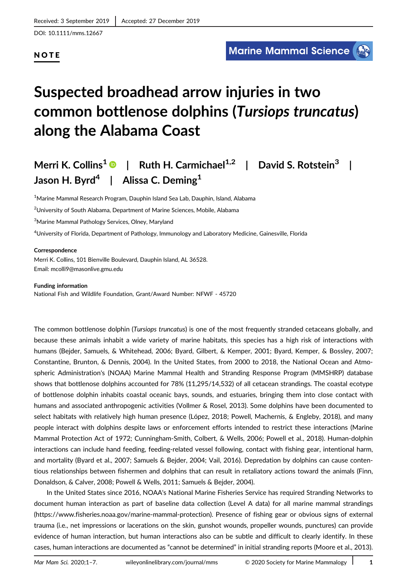### **NOTE**

# Suspected broadhead arrow injuries in two common bottlenose dolphins (Tursiops truncatus) along the Alabama Coast

## Merri K. Collins<sup>1</sup> | Ruth H. Carmichael<sup>1,2</sup> | David S. Rotstein<sup>3</sup> | Jason H. Byrd<sup>4</sup> | Alissa C. Deming<sup>1</sup>

<sup>1</sup>Marine Mammal Research Program, Dauphin Island Sea Lab, Dauphin, Island, Alabama

 $^{2}$ University of South Alabama, Department of Marine Sciences, Mobile, Alabama

<sup>3</sup>Marine Mammal Pathology Services, Olney, Maryland

4 University of Florida, Department of Pathology, Immunology and Laboratory Medicine, Gainesville, Florida

#### Correspondence

Merri K. Collins, 101 Bienville Boulevard, Dauphin Island, AL 36528. Email: mcolli9@masonlive.gmu.edu

Funding information

National Fish and Wildlife Foundation, Grant/Award Number: NFWF - 45720

The common bottlenose dolphin (Tursiops truncatus) is one of the most frequently stranded cetaceans globally, and because these animals inhabit a wide variety of marine habitats, this species has a high risk of interactions with humans (Bejder, Samuels, & Whitehead, 2006; Byard, Gilbert, & Kemper, 2001; Byard, Kemper, & Bossley, 2007; Constantine, Brunton, & Dennis, 2004). In the United States, from 2000 to 2018, the National Ocean and Atmospheric Administration's (NOAA) Marine Mammal Health and Stranding Response Program (MMSHRP) database shows that bottlenose dolphins accounted for 78% (11,295/14,532) of all cetacean strandings. The coastal ecotype of bottlenose dolphin inhabits coastal oceanic bays, sounds, and estuaries, bringing them into close contact with humans and associated anthropogenic activities (Vollmer & Rosel, 2013). Some dolphins have been documented to select habitats with relatively high human presence (López, 2018; Powell, Machernis, & Engleby, 2018), and many people interact with dolphins despite laws or enforcement efforts intended to restrict these interactions (Marine Mammal Protection Act of 1972; Cunningham-Smith, Colbert, & Wells, 2006; Powell et al., 2018). Human-dolphin interactions can include hand feeding, feeding-related vessel following, contact with fishing gear, intentional harm, and mortality (Byard et al., 2007; Samuels & Bejder, 2004; Vail, 2016). Depredation by dolphins can cause contentious relationships between fishermen and dolphins that can result in retaliatory actions toward the animals (Finn, Donaldson, & Calver, 2008; Powell & Wells, 2011; Samuels & Bejder, 2004).

In the United States since 2016, NOAA's National Marine Fisheries Service has required Stranding Networks to document human interaction as part of baseline data collection (Level A data) for all marine mammal strandings (<https://www.fisheries.noaa.gov/marine-mammal-protection>). Presence of fishing gear or obvious signs of external trauma (i.e., net impressions or lacerations on the skin, gunshot wounds, propeller wounds, punctures) can provide evidence of human interaction, but human interactions also can be subtle and difficult to clearly identify. In these cases, human interactions are documented as "cannot be determined" in initial stranding reports (Moore et al., 2013).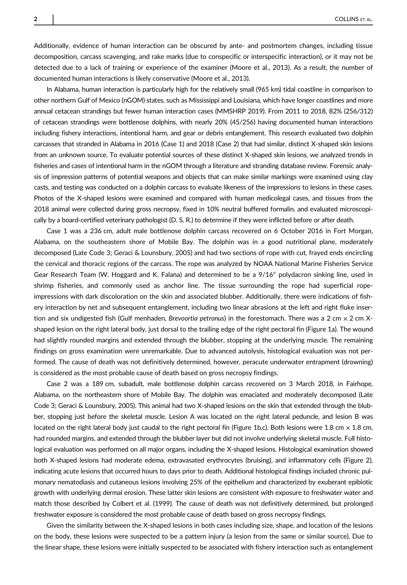Additionally, evidence of human interaction can be obscured by ante- and postmortem changes, including tissue decomposition, carcass scavenging, and rake marks (due to conspecific or interspecific interaction), or it may not be detected due to a lack of training or experience of the examiner (Moore et al., 2013). As a result, the number of documented human interactions is likely conservative (Moore et al., 2013).

In Alabama, human interaction is particularly high for the relatively small (965 km) tidal coastline in comparison to other northern Gulf of Mexico (nGOM) states, such as Mississippi and Louisiana, which have longer coastlines and more annual cetacean strandings but fewer human interaction cases (MMSHRP 2019). From 2011 to 2018, 82% (256/312) of cetacean strandings were bottlenose dolphins, with nearly 20% (45/256) having documented human interactions including fishery interactions, intentional harm, and gear or debris entanglement. This research evaluated two dolphin carcasses that stranded in Alabama in 2016 (Case 1) and 2018 (Case 2) that had similar, distinct X-shaped skin lesions from an unknown source. To evaluate potential sources of these distinct X-shaped skin lesions, we analyzed trends in fisheries and cases of intentional harm in the nGOM through a literature and stranding database review. Forensic analysis of impression patterns of potential weapons and objects that can make similar markings were examined using clay casts, and testing was conducted on a dolphin carcass to evaluate likeness of the impressions to lesions in these cases. Photos of the X-shaped lesions were examined and compared with human medicolegal cases, and tissues from the 2018 animal were collected during gross necropsy, fixed in 10% neutral buffered formalin, and evaluated microscopically by a board-certified veterinary pathologist (D. S. R.) to determine if they were inflicted before or after death.

Case 1 was a 236 cm, adult male bottlenose dolphin carcass recovered on 6 October 2016 in Fort Morgan, Alabama, on the southeastern shore of Mobile Bay. The dolphin was in a good nutritional plane, moderately decomposed (Late Code 3; Geraci & Lounsbury, 2005) and had two sections of rope with cut, frayed ends encircling the cervical and thoracic regions of the carcass. The rope was analyzed by NOAA National Marine Fisheries Service Gear Research Team (W. Hoggard and K. Falana) and determined to be a 9/16" polydacron sinking line, used in shrimp fisheries, and commonly used as anchor line. The tissue surrounding the rope had superficial ropeimpressions with dark discoloration on the skin and associated blubber. Additionally, there were indications of fishery interaction by net and subsequent entanglement, including two linear abrasions at the left and right fluke insertion and six undigested fish (Gulf menhaden, Brevoortia petronus) in the forestomach. There was a 2 cm  $\times$  2 cm Xshaped lesion on the right lateral body, just dorsal to the trailing edge of the right pectoral fin (Figure 1a). The wound had slightly rounded margins and extended through the blubber, stopping at the underlying muscle. The remaining findings on gross examination were unremarkable. Due to advanced autolysis, histological evaluation was not performed. The cause of death was not definitively determined, however, peracute underwater entrapment (drowning) is considered as the most probable cause of death based on gross necropsy findings.

Case 2 was a 189 cm, subadult, male bottlenose dolphin carcass recovered on 3 March 2018, in Fairhope, Alabama, on the northeastern shore of Mobile Bay. The dolphin was emaciated and moderately decomposed (Late Code 3; Geraci & Lounsbury, 2005). This animal had two X-shaped lesions on the skin that extended through the blubber, stopping just before the skeletal muscle. Lesion A was located on the right lateral peduncle, and lesion B was located on the right lateral body just caudal to the right pectoral fin (Figure 1b,c). Both lesions were 1.8 cm  $\times$  1.8 cm, had rounded margins, and extended through the blubber layer but did not involve underlying skeletal muscle. Full histological evaluation was performed on all major organs, including the X-shaped lesions. Histological examination showed both X-shaped lesions had moderate edema, extravasated erythrocytes (bruising), and inflammatory cells (Figure 2), indicating acute lesions that occurred hours to days prior to death. Additional histological findings included chronic pulmonary nematodiasis and cutaneous lesions involving 25% of the epithelium and characterized by exuberant epibiotic growth with underlying dermal erosion. These latter skin lesions are consistent with exposure to freshwater water and match those described by Colbert et al. (1999). The cause of death was not definitively determined, but prolonged freshwater exposure is considered the most probable cause of death based on gross necropsy findings.

Given the similarity between the X-shaped lesions in both cases including size, shape, and location of the lesions on the body, these lesions were suspected to be a pattern injury (a lesion from the same or similar source). Due to the linear shape, these lesions were initially suspected to be associated with fishery interaction such as entanglement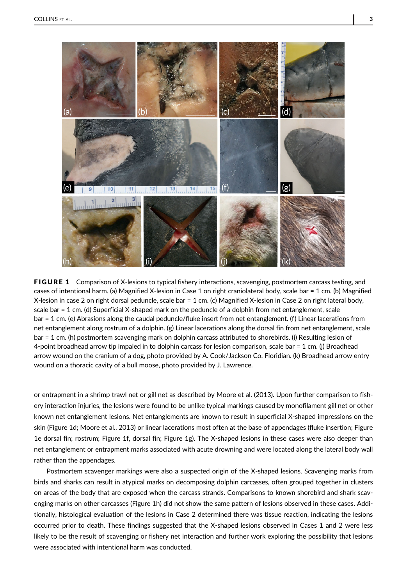

**FIGURE 1** Comparison of X-lesions to typical fishery interactions, scavenging, postmortem carcass testing, and cases of intentional harm. (a) Magnified X-lesion in Case 1 on right craniolateral body, scale bar = 1 cm. (b) Magnified X-lesion in case 2 on right dorsal peduncle, scale bar = 1 cm. (c) Magnified X-lesion in Case 2 on right lateral body, scale bar = 1 cm. (d) Superficial X-shaped mark on the peduncle of a dolphin from net entanglement, scale bar = 1 cm. (e) Abrasions along the caudal peduncle/fluke insert from net entanglement. (f) Linear lacerations from net entanglement along rostrum of a dolphin. (g) Linear lacerations along the dorsal fin from net entanglement, scale bar = 1 cm. (h) postmortem scavenging mark on dolphin carcass attributed to shorebirds. (i) Resulting lesion of 4-point broadhead arrow tip impaled in to dolphin carcass for lesion comparison, scale bar = 1 cm. (j) Broadhead arrow wound on the cranium of a dog, photo provided by A. Cook/Jackson Co. Floridian. (k) Broadhead arrow entry wound on a thoracic cavity of a bull moose, photo provided by J. Lawrence.

or entrapment in a shrimp trawl net or gill net as described by Moore et al. (2013). Upon further comparison to fishery interaction injuries, the lesions were found to be unlike typical markings caused by monofilament gill net or other known net entanglement lesions. Net entanglements are known to result in superficial X-shaped impressions on the skin (Figure 1d; Moore et al., 2013) or linear lacerations most often at the base of appendages (fluke insertion; Figure 1e dorsal fin; rostrum; Figure 1f, dorsal fin; Figure 1g). The X-shaped lesions in these cases were also deeper than net entanglement or entrapment marks associated with acute drowning and were located along the lateral body wall rather than the appendages.

Postmortem scavenger markings were also a suspected origin of the X-shaped lesions. Scavenging marks from birds and sharks can result in atypical marks on decomposing dolphin carcasses, often grouped together in clusters on areas of the body that are exposed when the carcass strands. Comparisons to known shorebird and shark scavenging marks on other carcasses (Figure 1h) did not show the same pattern of lesions observed in these cases. Additionally, histological evaluation of the lesions in Case 2 determined there was tissue reaction, indicating the lesions occurred prior to death. These findings suggested that the X-shaped lesions observed in Cases 1 and 2 were less likely to be the result of scavenging or fishery net interaction and further work exploring the possibility that lesions were associated with intentional harm was conducted.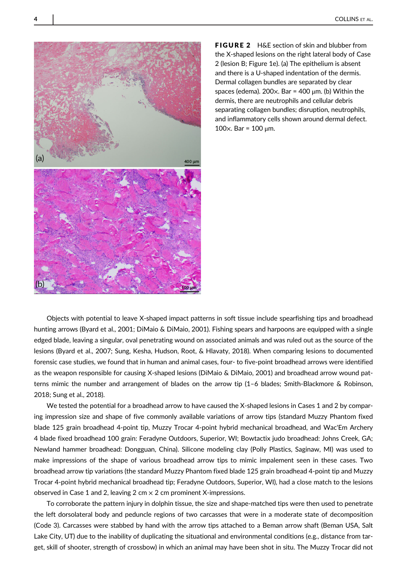

**FIGURE 2** H&E section of skin and blubber from the X-shaped lesions on the right lateral body of Case 2 (lesion B; Figure 1e). (a) The epithelium is absent and there is a U-shaped indentation of the dermis. Dermal collagen bundles are separated by clear spaces (edema). 200 $\times$ . Bar = 400  $\mu$ m. (b) Within the dermis, there are neutrophils and cellular debris separating collagen bundles; disruption, neutrophils, and inflammatory cells shown around dermal defect. 100 $\times$ . Bar = 100 μm.

Objects with potential to leave X-shaped impact patterns in soft tissue include spearfishing tips and broadhead hunting arrows (Byard et al., 2001; DiMaio & DiMaio, 2001). Fishing spears and harpoons are equipped with a single edged blade, leaving a singular, oval penetrating wound on associated animals and was ruled out as the source of the lesions (Byard et al., 2007; Sung, Kesha, Hudson, Root, & Hlavaty, 2018). When comparing lesions to documented forensic case studies, we found that in human and animal cases, four- to five-point broadhead arrows were identified as the weapon responsible for causing X-shaped lesions (DiMaio & DiMaio, 2001) and broadhead arrow wound patterns mimic the number and arrangement of blades on the arrow tip (1–6 blades; Smith-Blackmore & Robinson, 2018; Sung et al., 2018).

We tested the potential for a broadhead arrow to have caused the X-shaped lesions in Cases 1 and 2 by comparing impression size and shape of five commonly available variations of arrow tips (standard Muzzy Phantom fixed blade 125 grain broadhead 4-point tip, Muzzy Trocar 4-point hybrid mechanical broadhead, and Wac'Em Archery 4 blade fixed broadhead 100 grain: Feradyne Outdoors, Superior, WI; Bowtactix judo broadhead: Johns Creek, GA; Newland hammer broadhead: Dongguan, China). Silicone modeling clay (Polly Plastics, Saginaw, MI) was used to make impressions of the shape of various broadhead arrow tips to mimic impalement seen in these cases. Two broadhead arrow tip variations (the standard Muzzy Phantom fixed blade 125 grain broadhead 4-point tip and Muzzy Trocar 4-point hybrid mechanical broadhead tip; Feradyne Outdoors, Superior, WI), had a close match to the lesions observed in Case 1 and 2, leaving 2 cm  $\times$  2 cm prominent X-impressions.

To corroborate the pattern injury in dolphin tissue, the size and shape-matched tips were then used to penetrate the left dorsolateral body and peduncle regions of two carcasses that were in a moderate state of decomposition (Code 3). Carcasses were stabbed by hand with the arrow tips attached to a Beman arrow shaft (Beman USA, Salt Lake City, UT) due to the inability of duplicating the situational and environmental conditions (e.g., distance from target, skill of shooter, strength of crossbow) in which an animal may have been shot in situ. The Muzzy Trocar did not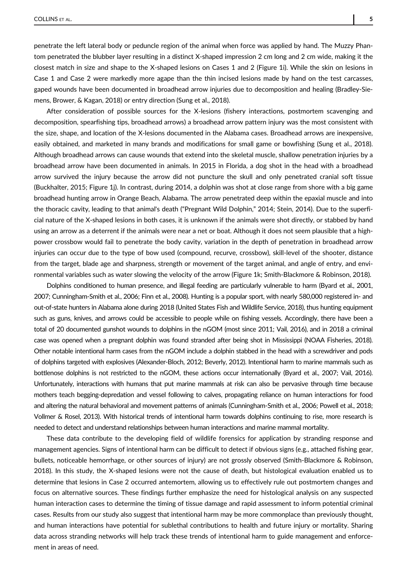penetrate the left lateral body or peduncle region of the animal when force was applied by hand. The Muzzy Phantom penetrated the blubber layer resulting in a distinct X-shaped impression 2 cm long and 2 cm wide, making it the closest match in size and shape to the X-shaped lesions on Cases 1 and 2 (Figure 1i). While the skin on lesions in Case 1 and Case 2 were markedly more agape than the thin incised lesions made by hand on the test carcasses, gaped wounds have been documented in broadhead arrow injuries due to decomposition and healing (Bradley-Siemens, Brower, & Kagan, 2018) or entry direction (Sung et al., 2018).

After consideration of possible sources for the X-lesions (fishery interactions, postmortem scavenging and decomposition, spearfishing tips, broadhead arrows) a broadhead arrow pattern injury was the most consistent with the size, shape, and location of the X-lesions documented in the Alabama cases. Broadhead arrows are inexpensive, easily obtained, and marketed in many brands and modifications for small game or bowfishing (Sung et al., 2018). Although broadhead arrows can cause wounds that extend into the skeletal muscle, shallow penetration injuries by a broadhead arrow have been documented in animals. In 2015 in Florida, a dog shot in the head with a broadhead arrow survived the injury because the arrow did not puncture the skull and only penetrated cranial soft tissue (Buckhalter, 2015; Figure 1j). In contrast, during 2014, a dolphin was shot at close range from shore with a big game broadhead hunting arrow in Orange Beach, Alabama. The arrow penetrated deep within the epaxial muscle and into the thoracic cavity, leading to that animal's death ("Pregnant Wild Dolphin," 2014; Stein, 2014). Due to the superficial nature of the X-shaped lesions in both cases, it is unknown if the animals were shot directly, or stabbed by hand using an arrow as a deterrent if the animals were near a net or boat. Although it does not seem plausible that a highpower crossbow would fail to penetrate the body cavity, variation in the depth of penetration in broadhead arrow injuries can occur due to the type of bow used (compound, recurve, crossbow), skill-level of the shooter, distance from the target, blade age and sharpness, strength or movement of the target animal, and angle of entry, and environmental variables such as water slowing the velocity of the arrow (Figure 1k; Smith-Blackmore & Robinson, 2018).

Dolphins conditioned to human presence, and illegal feeding are particularly vulnerable to harm (Byard et al., 2001, 2007; Cunningham-Smith et al., 2006; Finn et al., 2008). Hunting is a popular sport, with nearly 580,000 registered in- and out-of-state hunters in Alabama alone during 2018 (United States Fish and Wildlife Service, 2018), thus hunting equipment such as guns, knives, and arrows could be accessible to people while on fishing vessels. Accordingly, there have been a total of 20 documented gunshot wounds to dolphins in the nGOM (most since 2011; Vail, 2016), and in 2018 a criminal case was opened when a pregnant dolphin was found stranded after being shot in Mississippi (NOAA Fisheries, 2018). Other notable intentional harm cases from the nGOM include a dolphin stabbed in the head with a screwdriver and pods of dolphins targeted with explosives (Alexander-Bloch, 2012; Beverly, 2012). Intentional harm to marine mammals such as bottlenose dolphins is not restricted to the nGOM, these actions occur internationally (Byard et al., 2007; Vail, 2016). Unfortunately, interactions with humans that put marine mammals at risk can also be pervasive through time because mothers teach begging-depredation and vessel following to calves, propagating reliance on human interactions for food and altering the natural behavioral and movement patterns of animals (Cunningham-Smith et al., 2006; Powell et al., 2018; Vollmer & Rosel, 2013). With historical trends of intentional harm towards dolphins continuing to rise, more research is needed to detect and understand relationships between human interactions and marine mammal mortality.

These data contribute to the developing field of wildlife forensics for application by stranding response and management agencies. Signs of intentional harm can be difficult to detect if obvious signs (e.g., attached fishing gear, bullets, noticeable hemorrhage, or other sources of injury) are not grossly observed (Smith-Blackmore & Robinson, 2018). In this study, the X-shaped lesions were not the cause of death, but histological evaluation enabled us to determine that lesions in Case 2 occurred antemortem, allowing us to effectively rule out postmortem changes and focus on alternative sources. These findings further emphasize the need for histological analysis on any suspected human interaction cases to determine the timing of tissue damage and rapid assessment to inform potential criminal cases. Results from our study also suggest that intentional harm may be more commonplace than previously thought, and human interactions have potential for sublethal contributions to health and future injury or mortality. Sharing data across stranding networks will help track these trends of intentional harm to guide management and enforcement in areas of need.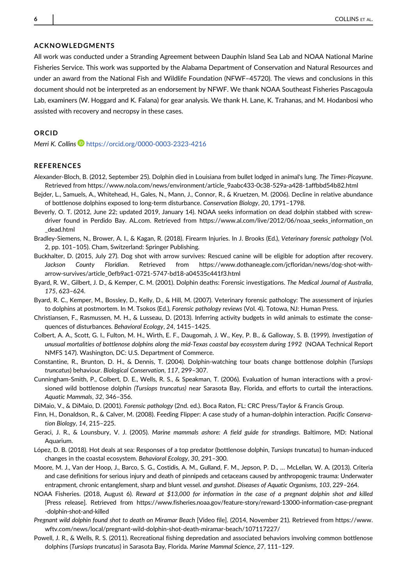#### ACKNOWLEDGMENTS

All work was conducted under a Stranding Agreement between Dauphin Island Sea Lab and NOAA National Marine Fisheries Service. This work was supported by the Alabama Department of Conservation and Natural Resources and under an award from the National Fish and Wildlife Foundation (NFWF–45720). The views and conclusions in this document should not be interpreted as an endorsement by NFWF. We thank NOAA Southeast Fisheries Pascagoula Lab, examiners (W. Hoggard and K. Falana) for gear analysis. We thank H. Lane, K. Trahanas, and M. Hodanbosi who assisted with recovery and necropsy in these cases.

#### ORCID

Merri K. Collins D <https://orcid.org/0000-0003-2323-4216>

#### **REFERENCES**

- Alexander-Bloch, B. (2012, September 25). Dolphin died in Louisiana from bullet lodged in animal's lung. The Times-Picayune. Retrieved from [https://www.nola.com/news/environment/article\\_9aabc433-0c38-529a-a428-1affbbd54b82.html](https://www.nola.com/news/environment/article_9aabc433-0c38-529a-a428-1affbbd54b82.html)
- Bejder, L., Samuels, A., Whitehead, H., Gales, N., Mann, J., Connor, R., & Kruetzen, M. (2006). Decline in relative abundance of bottlenose dolphins exposed to long-term disturbance. Conservation Biology, 20, 1791–1798.
- Beverly, O. T. (2012, June 22; updated 2019, January 14). NOAA seeks information on dead dolphin stabbed with screwdriver found in Perdido Bay. [AL.com.](http://al.com) Retrieved from [https://www.al.com/live/2012/06/noaa\\_seeks\\_information\\_on](https://www.al.com/live/2012/06/noaa_seeks_information_on_dead.html) [\\_dead.html](https://www.al.com/live/2012/06/noaa_seeks_information_on_dead.html)
- Bradley-Siemens, N., Brower, A. I., & Kagan, R. (2018). Firearm Injuries. In J. Brooks (Ed.), Veterinary forensic pathology (Vol. 2, pp. 101–105). Cham, Switzerland: Springer Publishing.
- Buckhalter, D. (2015, July 27). Dog shot with arrow survives: Rescued canine will be eligible for adoption after recovery. Jackson County Floridian. Retrieved from<https://www.dothaneagle.com/jcfloridan/news/dog-shot-with>arrow-survives/article\_0efb9ac1-0721-5747-bd18-a04535c441f3.html
- Byard, R. W., Gilbert, J. D., & Kemper, C. M. (2001). Dolphin deaths: Forensic investigations. The Medical Journal of Australia, 175, 623–624.
- Byard, R. C., Kemper, M., Bossley, D., Kelly, D., & Hill, M. (2007). Veterinary forensic pathology: The assessment of injuries to dolphins at postmortem. In M. Tsokos (Ed.), Forensic pathology reviews (Vol. 4). Totowa, NJ: Human Press.
- Christiansen, F., Rasmussen, M. H., & Lusseau, D. (2013). Inferring activity budgets in wild animals to estimate the consequences of disturbances. Behavioral Ecology, 24, 1415–1425.
- Colbert, A. A., Scott, G. I., Fulton, M. H., Wirth, E. F., Daugomah, J. W., Key, P. B., & Galloway, S. B. (1999). Investigation of unusual mortalities of bottlenose dolphins along the mid-Texas coastal bay ecosystem during 1992 (NOAA Technical Report NMFS 147). Washington, DC: U.S. Department of Commerce.
- Constantine, R., Brunton, D. H., & Dennis, T. (2004). Dolphin-watching tour boats change bottlenose dolphin (Tursiops truncatus) behaviour. Biological Conservation, 117, 299–307.
- Cunningham-Smith, P., Colbert, D. E., Wells, R. S., & Speakman, T. (2006). Evaluation of human interactions with a provisioned wild bottlenose dolphin (Tursiops truncatus) near Sarasota Bay, Florida, and efforts to curtail the interactions. Aquatic Mammals, 32, 346–356.
- DiMaio, V., & DiMaio, D. (2001). Forensic pathology (2nd. ed.). Boca Raton, FL: CRC Press/Taylor & Francis Group.
- Finn, H., Donaldson, R., & Calver, M. (2008). Feeding Flipper: A case study of a human-dolphin interaction. Pacific Conservation Biology, 14, 215–225.
- Geraci, J. R., & Lounsbury, V. J. (2005). Marine mammals ashore: A field guide for strandings. Baltimore, MD: National Aquarium.
- López, D. B. (2018). Hot deals at sea: Responses of a top predator (bottlenose dolphin, Tursiops truncatus) to human-induced changes in the coastal ecosystem. Behavioral Ecology, 30, 291–300.
- Moore, M. J., Van der Hoop, J., Barco, S. G., Costidis, A. M., Gulland, F. M., Jepson, P. D., … McLellan, W. A. (2013). Criteria and case definitions for serious injury and death of pinnipeds and cetaceans caused by anthropogenic trauma: Underwater entrapment, chronic entanglement, sharp and blunt vessel. and gunshot. Diseases of Aquatic Organisms, 103, 229–264.
- NOAA Fisheries. (2018, August 6). Reward at \$13,000 for information in the case of a pregnant dolphin shot and killed [Press release]. Retrieved from [https://www.fisheries.noaa.gov/feature-story/reward-13000-information-case-pregnant](https://www.fisheries.noaa.gov/feature-story/reward-13000-information-case-pregnant-dolphin-shot-and-killed) [-dolphin-shot-and-killed](https://www.fisheries.noaa.gov/feature-story/reward-13000-information-case-pregnant-dolphin-shot-and-killed)
- Pregnant wild dolphin found shot to death on Miramar Beach [Video file]. (2014, November 21). Retrieved from [https://www.](https://www.wftv.com/news/local/pregnant-wild-dolphin-shot-death-miramar-beach/107117227/) [wftv.com/news/local/pregnant-wild-dolphin-shot-death-miramar-beach/107117227/](https://www.wftv.com/news/local/pregnant-wild-dolphin-shot-death-miramar-beach/107117227/)
- Powell, J. R., & Wells, R. S. (2011). Recreational fishing depredation and associated behaviors involving common bottlenose dolphins (Tursiops truncatus) in Sarasota Bay, Florida. Marine Mammal Science, 27, 111–129.